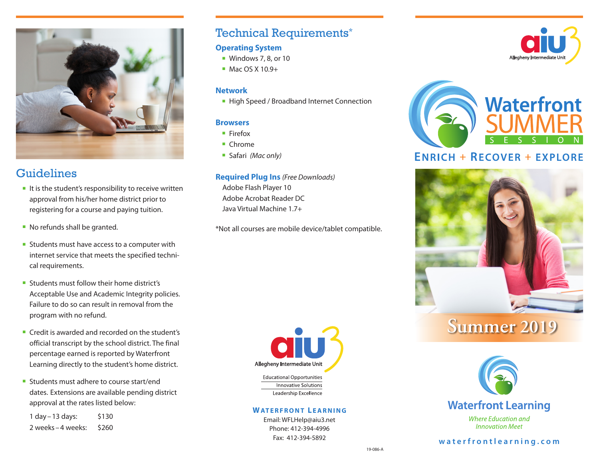

## **Guidelines**

- $\blacksquare$  It is the student's responsibility to receive written approval from his/her home district prior to registering for a course and paying tuition.
- $\blacksquare$  No refunds shall be granted.
- **EXTERNALES** Students must have access to a computer with internet service that meets the specified technical requirements.
- **Example 1** Students must follow their home district's Acceptable Use and Academic Integrity policies. Failure to do so can result in removal from the program with no refund.
- Credit is awarded and recorded on the student's official transcript by the school district. The final percentage earned is reported by Waterfront Learning directly to the student's home district.
- **F** Students must adhere to course start/end dates. Extensions are available pending district approval at the rates listed below:

1 day – 13 days: \$130 2 weeks – 4 weeks: \$260

## Technical Requirements\*

#### **Operating System**

- $\blacksquare$  Windows 7, 8, or 10
- $Mac OS X 10.9+$

#### **Network**

■ High Speed / Broadband Internet Connection

#### **Browsers**

- Firefox
- $\blacksquare$  Chrome
- Safari *(Mac only)*

#### **Required Plug Ins** *(Free Downloads)*

Adobe Flash Player 10 Adobe Acrobat Reader DC Java Virtual Machine 1.7+

\*Not all courses are mobile device/tablet compatible.



#### **WATERFRONT LEARNING**

Email: WFLHelp@aiu3.net Phone: 412-394-4996 Fax: 412-394-5892





# **ENRICH + RECOVER + EXPLORE**



# **Summer 2019**



**Innovation Meet** 

### **waterfrontlearning.com**